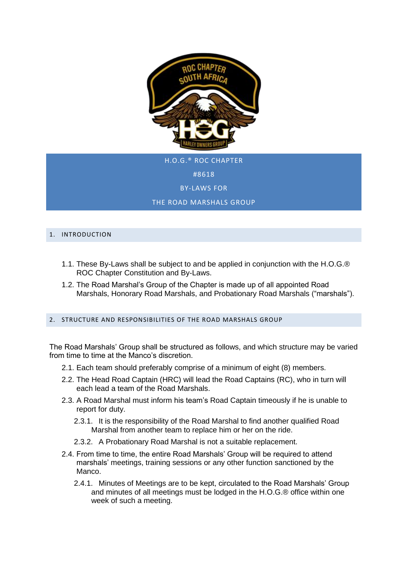

H.O.G.® ROC CHAPTER #8618 BY-LAWS FOR THE ROAD MARSHALS GROUP

# 1. INTRODUCTION

- 1.1. These By-Laws shall be subject to and be applied in conjunction with the H.O.G.® ROC Chapter Constitution and By-Laws.
- 1.2. The Road Marshal's Group of the Chapter is made up of all appointed Road Marshals, Honorary Road Marshals, and Probationary Road Marshals ("marshals").

# 2. STRUCTURE AND RESPONSIBILITIES OF THE ROAD MARSHALS GROUP

The Road Marshals' Group shall be structured as follows, and which structure may be varied from time to time at the Manco's discretion.

- 2.1. Each team should preferably comprise of a minimum of eight (8) members.
- 2.2. The Head Road Captain (HRC) will lead the Road Captains (RC), who in turn will each lead a team of the Road Marshals.
- 2.3. A Road Marshal must inform his team's Road Captain timeously if he is unable to report for duty.
	- 2.3.1. It is the responsibility of the Road Marshal to find another qualified Road Marshal from another team to replace him or her on the ride.
	- 2.3.2. A Probationary Road Marshal is not a suitable replacement.
- 2.4. From time to time, the entire Road Marshals' Group will be required to attend marshals' meetings, training sessions or any other function sanctioned by the Manco.
	- 2.4.1. Minutes of Meetings are to be kept, circulated to the Road Marshals' Group and minutes of all meetings must be lodged in the H.O.G.® office within one week of such a meeting.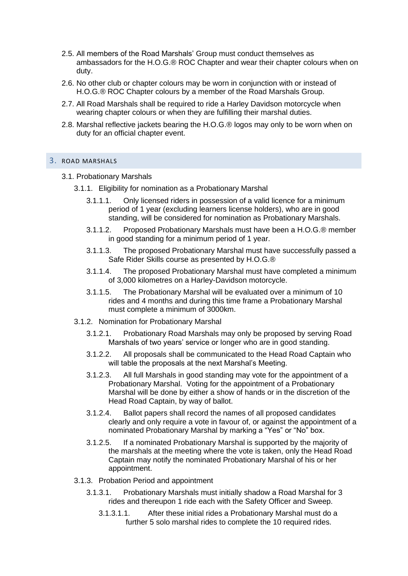- 2.5. All members of the Road Marshals' Group must conduct themselves as ambassadors for the H.O.G.® ROC Chapter and wear their chapter colours when on duty.
- 2.6. No other club or chapter colours may be worn in conjunction with or instead of H.O.G.® ROC Chapter colours by a member of the Road Marshals Group.
- 2.7. All Road Marshals shall be required to ride a Harley Davidson motorcycle when wearing chapter colours or when they are fulfilling their marshal duties.
- 2.8. Marshal reflective jackets bearing the H.O.G.® logos may only to be worn when on duty for an official chapter event.

## 3. ROAD MARSHALS

- 3.1. Probationary Marshals
	- 3.1.1. Eligibility for nomination as a Probationary Marshal
		- 3.1.1.1. Only licensed riders in possession of a valid licence for a minimum period of 1 year (excluding learners license holders), who are in good standing, will be considered for nomination as Probationary Marshals.
		- 3.1.1.2. Proposed Probationary Marshals must have been a H.O.G.® member in good standing for a minimum period of 1 year.
		- 3.1.1.3. The proposed Probationary Marshal must have successfully passed a Safe Rider Skills course as presented by H.O.G.®
		- 3.1.1.4. The proposed Probationary Marshal must have completed a minimum of 3,000 kilometres on a Harley-Davidson motorcycle.
		- 3.1.1.5. The Probationary Marshal will be evaluated over a minimum of 10 rides and 4 months and during this time frame a Probationary Marshal must complete a minimum of 3000km.
	- 3.1.2. Nomination for Probationary Marshal
		- 3.1.2.1. Probationary Road Marshals may only be proposed by serving Road Marshals of two years' service or longer who are in good standing.
		- 3.1.2.2. All proposals shall be communicated to the Head Road Captain who will table the proposals at the next Marshal's Meeting.
		- 3.1.2.3. All full Marshals in good standing may vote for the appointment of a Probationary Marshal. Voting for the appointment of a Probationary Marshal will be done by either a show of hands or in the discretion of the Head Road Captain, by way of ballot.
		- 3.1.2.4. Ballot papers shall record the names of all proposed candidates clearly and only require a vote in favour of, or against the appointment of a nominated Probationary Marshal by marking a "Yes" or "No" box.
		- 3.1.2.5. If a nominated Probationary Marshal is supported by the majority of the marshals at the meeting where the vote is taken, only the Head Road Captain may notify the nominated Probationary Marshal of his or her appointment.
	- 3.1.3. Probation Period and appointment
		- 3.1.3.1. Probationary Marshals must initially shadow a Road Marshal for 3 rides and thereupon 1 ride each with the Safety Officer and Sweep.
			- 3.1.3.1.1. After these initial rides a Probationary Marshal must do a further 5 solo marshal rides to complete the 10 required rides.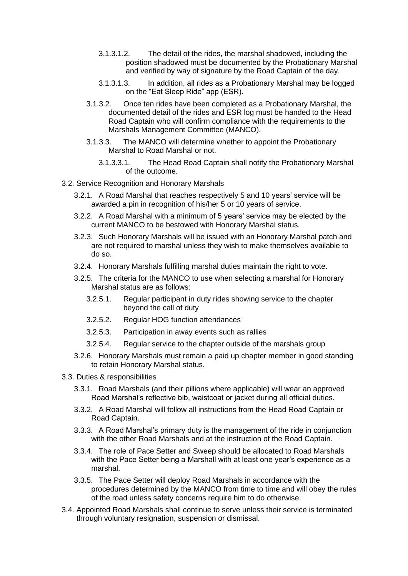- 3.1.3.1.2. The detail of the rides, the marshal shadowed, including the position shadowed must be documented by the Probationary Marshal and verified by way of signature by the Road Captain of the day.
- 3.1.3.1.3. In addition, all rides as a Probationary Marshal may be logged on the "Eat Sleep Ride" app (ESR).
- 3.1.3.2. Once ten rides have been completed as a Probationary Marshal, the documented detail of the rides and ESR log must be handed to the Head Road Captain who will confirm compliance with the requirements to the Marshals Management Committee (MANCO).
- 3.1.3.3. The MANCO will determine whether to appoint the Probationary Marshal to Road Marshal or not.
	- 3.1.3.3.1. The Head Road Captain shall notify the Probationary Marshal of the outcome.
- 3.2. Service Recognition and Honorary Marshals
	- 3.2.1. A Road Marshal that reaches respectively 5 and 10 years' service will be awarded a pin in recognition of his/her 5 or 10 years of service.
	- 3.2.2. A Road Marshal with a minimum of 5 years' service may be elected by the current MANCO to be bestowed with Honorary Marshal status.
	- 3.2.3. Such Honorary Marshals will be issued with an Honorary Marshal patch and are not required to marshal unless they wish to make themselves available to do so.
	- 3.2.4. Honorary Marshals fulfilling marshal duties maintain the right to vote.
	- 3.2.5. The criteria for the MANCO to use when selecting a marshal for Honorary Marshal status are as follows:
		- 3.2.5.1. Regular participant in duty rides showing service to the chapter beyond the call of duty
		- 3.2.5.2. Regular HOG function attendances
		- 3.2.5.3. Participation in away events such as rallies
		- 3.2.5.4. Regular service to the chapter outside of the marshals group
	- 3.2.6. Honorary Marshals must remain a paid up chapter member in good standing to retain Honorary Marshal status.
- 3.3. Duties & responsibilities
	- 3.3.1. Road Marshals (and their pillions where applicable) will wear an approved Road Marshal's reflective bib, waistcoat or jacket during all official duties.
	- 3.3.2. A Road Marshal will follow all instructions from the Head Road Captain or Road Captain.
	- 3.3.3. A Road Marshal's primary duty is the management of the ride in conjunction with the other Road Marshals and at the instruction of the Road Captain.
	- 3.3.4. The role of Pace Setter and Sweep should be allocated to Road Marshals with the Pace Setter being a Marshall with at least one year's experience as a marshal.
	- 3.3.5. The Pace Setter will deploy Road Marshals in accordance with the procedures determined by the MANCO from time to time and will obey the rules of the road unless safety concerns require him to do otherwise.
- 3.4. Appointed Road Marshals shall continue to serve unless their service is terminated through voluntary resignation, suspension or dismissal.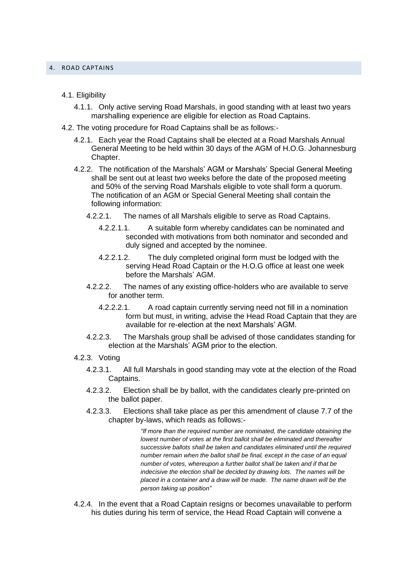#### 4. ROAD CAPTAINS

## 4.1. Eligibility

- 4.1.1. Only active serving Road Marshals, in good standing with at least two years marshalling experience are eligible for election as Road Captains.
- 4.2. The voting procedure for Road Captains shall be as follows:-
	- 4.2.1. Each year the Road Captains shall be elected at a Road Marshals Annual General Meeting to be held within 30 days of the AGM of H.O.G. Johannesburg Chapter.
	- 4.2.2. The notification of the Marshals' AGM or Marshals' Special General Meeting shall be sent out at least two weeks before the date of the proposed meeting and 50% of the serving Road Marshals eligible to vote shall form a quorum. The notification of an AGM or Special General Meeting shall contain the following information:
		- 4.2.2.1. The names of all Marshals eligible to serve as Road Captains.
			- 4.2.2.1.1. A suitable form whereby candidates can be nominated and seconded with motivations from both nominator and seconded and duly signed and accepted by the nominee.
			- 4.2.2.1.2. The duly completed original form must be lodged with the serving Head Road Captain or the H.O.G office at least one week before the Marshals' AGM.
		- 4.2.2.2. The names of any existing office-holders who are available to serve for another term.
			- 4.2.2.2.1. A road captain currently serving need not fill in a nomination form but must, in writing, advise the Head Road Captain that they are available for re-election at the next Marshals' AGM.
		- 4.2.2.3. The Marshals group shall be advised of those candidates standing for election at the Marshals' AGM prior to the election.
	- 4.2.3. Voting
		- 4.2.3.1. All full Marshals in good standing may vote at the election of the Road Captains.
		- 4.2.3.2. Election shall be by ballot, with the candidates clearly pre-printed on the ballot paper.
		- 4.2.3.3. Elections shall take place as per this amendment of clause 7.7 of the chapter by-laws, which reads as follows:-

*"If more than the required number are nominated, the candidate obtaining the lowest number of votes at the first ballot shall be eliminated and thereafter successive ballots shall be taken and candidates eliminated until the required number remain when the ballot shall be final, except in the case of an equal number of votes, whereupon a further ballot shall be taken and if that be indecisive the election shall be decided by drawing lots. The names will be placed in a container and a draw will be made. The name drawn will be the person taking up position"* 

4.2.4. In the event that a Road Captain resigns or becomes unavailable to perform his duties during his term of service, the Head Road Captain will convene a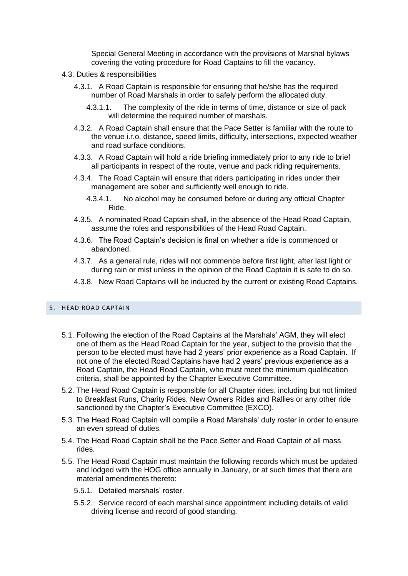Special General Meeting in accordance with the provisions of Marshal bylaws covering the voting procedure for Road Captains to fill the vacancy.

- 4.3. Duties & responsibilities
	- 4.3.1. A Road Captain is responsible for ensuring that he/she has the required number of Road Marshals in order to safely perform the allocated duty.
		- 4.3.1.1. The complexity of the ride in terms of time, distance or size of pack will determine the required number of marshals.
	- 4.3.2. A Road Captain shall ensure that the Pace Setter is familiar with the route to the venue i.r.o. distance, speed limits, difficulty, intersections, expected weather and road surface conditions.
	- 4.3.3. A Road Captain will hold a ride briefing immediately prior to any ride to brief all participants in respect of the route, venue and pack riding requirements.
	- 4.3.4. The Road Captain will ensure that riders participating in rides under their management are sober and sufficiently well enough to ride.
		- 4.3.4.1. No alcohol may be consumed before or during any official Chapter Ride.
	- 4.3.5. A nominated Road Captain shall, in the absence of the Head Road Captain, assume the roles and responsibilities of the Head Road Captain.
	- 4.3.6. The Road Captain's decision is final on whether a ride is commenced or abandoned.
	- 4.3.7. As a general rule, rides will not commence before first light, after last light or during rain or mist unless in the opinion of the Road Captain it is safe to do so.
	- 4.3.8. New Road Captains will be inducted by the current or existing Road Captains.

## 5. HEAD ROAD CAPTAIN

- 5.1. Following the election of the Road Captains at the Marshals' AGM, they will elect one of them as the Head Road Captain for the year, subject to the provisio that the person to be elected must have had 2 years' prior experience as a Road Captain. If not one of the elected Road Captains have had 2 years' previous experience as a Road Captain, the Head Road Captain, who must meet the minimum qualification criteria, shall be appointed by the Chapter Executive Committee.
- 5.2. The Head Road Captain is responsible for all Chapter rides, including but not limited to Breakfast Runs, Charity Rides, New Owners Rides and Rallies or any other ride sanctioned by the Chapter's Executive Committee (EXCO).
- 5.3. The Head Road Captain will compile a Road Marshals' duty roster in order to ensure an even spread of duties.
- 5.4. The Head Road Captain shall be the Pace Setter and Road Captain of all mass rides.
- 5.5. The Head Road Captain must maintain the following records which must be updated and lodged with the HOG office annually in January, or at such times that there are material amendments thereto:
	- 5.5.1. Detailed marshals' roster.
	- 5.5.2. Service record of each marshal since appointment including details of valid driving license and record of good standing.